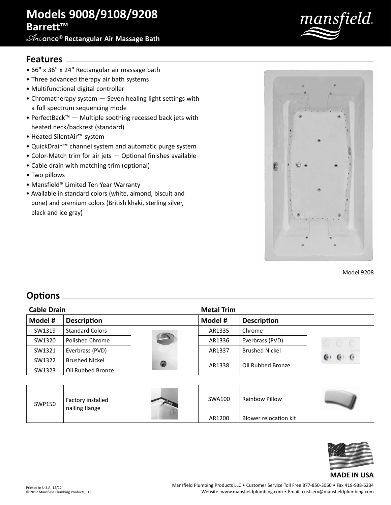# **Models 9008/9108/9208 Barrett™**

**Ari**ance® **Rectangular Air Massage Bath**



## **Features**

- 66" x 36" x 24" Rectangular air massage bath
- Three advanced therapy air bath systems
- Multifunctional digital controller
- Chromatherapy system Seven healing light settings with a full spectrum sequencing mode
- PerfectBack™ Multiple soothing recessed back jets with heated neck/backrest (standard)
- Heated SilentAir™ system
- QuickDrain™ channel system and automatic purge system
- Color-Match trim for air jets Optional finishes available
- Cable drain with matching trim (optional)
- Two pillows
- Mansfield® Limited Ten Year Warranty
- Available in standard colors (white, almond, biscuit and bone) and premium colors (British khaki, sterling silver, black and ice gray)



Model 9208

## **Options**

| <b>Cable Drain</b> |                        |   | <b>Metal Trim</b> |                       |             |
|--------------------|------------------------|---|-------------------|-----------------------|-------------|
| Model #            | <b>Description</b>     |   | Model #           | <b>Description</b>    |             |
| SW1319             | <b>Standard Colors</b> |   | AR1335            | Chrome                |             |
| SW1320             | Polished Chrome        |   | AR1336            | Everbrass (PVD)       | $C$ $C$ $C$ |
| SW1321             | Everbrass (PVD)        |   | AR1337            | <b>Brushed Nickel</b> |             |
| SW1322             | <b>Brushed Nickel</b>  | ◉ | AR1338            | Oil Rubbed Bronze     | $\cdot$     |
| SW1323             | Oil Rubbed Bronze      |   |                   |                       |             |

| SWP150 | Factory installed<br>nailing flange | SWA100 | Rainbow Pillow        |  |
|--------|-------------------------------------|--------|-----------------------|--|
|        |                                     | AR1200 | Blower relocation kit |  |



#### **MADE IN USA**